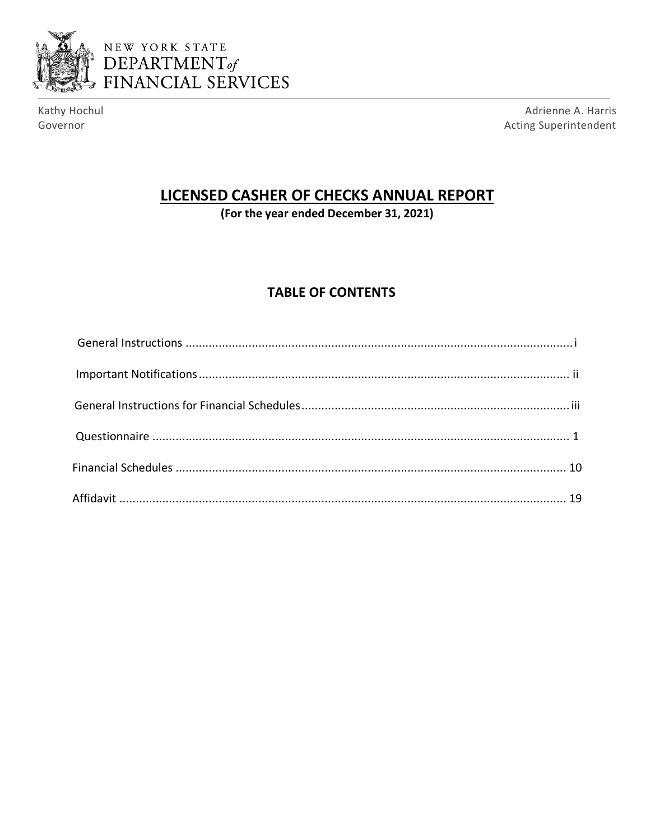



Kathy Hochul Governor

Adrienne A. Harris Acting Superintendent

# LICENSED CASHER OF CHECKS ANNUAL REPORT

(For the year ended December 31, 2021)

# **TABLE OF CONTENTS**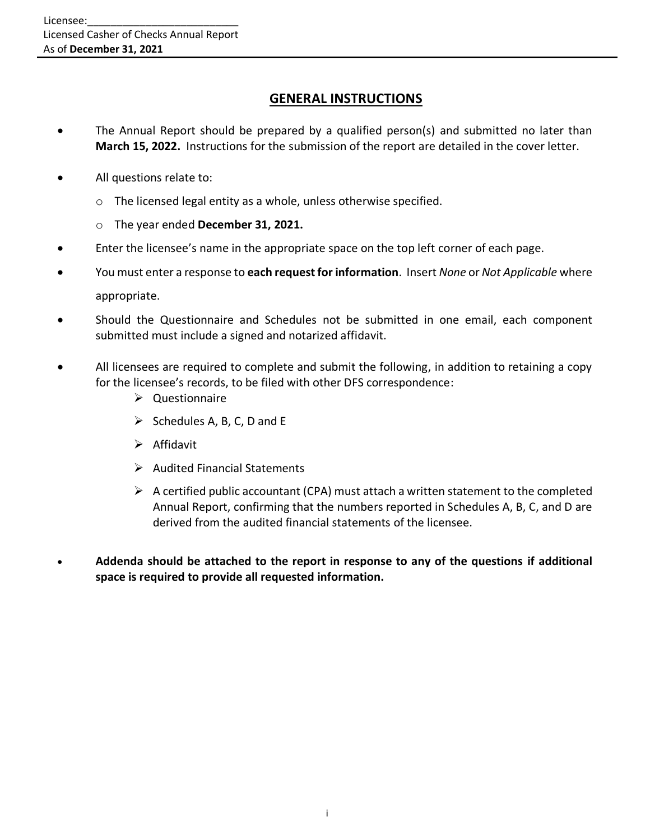## **GENERAL INSTRUCTIONS**

- The Annual Report should be prepared by a qualified person(s) and submitted no later than **March 15, 2022.** Instructions for the submission of the report are detailed in the cover letter.
- All questions relate to:
	- o The licensed legal entity as a whole, unless otherwise specified.
	- o The year ended **December 31, 2021.**
- Enter the licensee's name in the appropriate space on the top left corner of each page.
- You must enter a response to **each request for information**. Insert *None* or *Not Applicable* where appropriate.
- Should the Questionnaire and Schedules not be submitted in one email, each component submitted must include a signed and notarized affidavit.
- All licensees are required to complete and submit the following, in addition to retaining a copy for the licensee's records, to be filed with other DFS correspondence:
	- ➢ Questionnaire
	- $\triangleright$  Schedules A, B, C, D and E
	- ➢ Affidavit
	- ➢ Audited Financial Statements
	- $\triangleright$  A certified public accountant (CPA) must attach a written statement to the completed Annual Report, confirming that the numbers reported in Schedules A, B, C, and D are derived from the audited financial statements of the licensee.
- **Addenda should be attached to the report in response to any of the questions if additional space is required to provide all requested information.**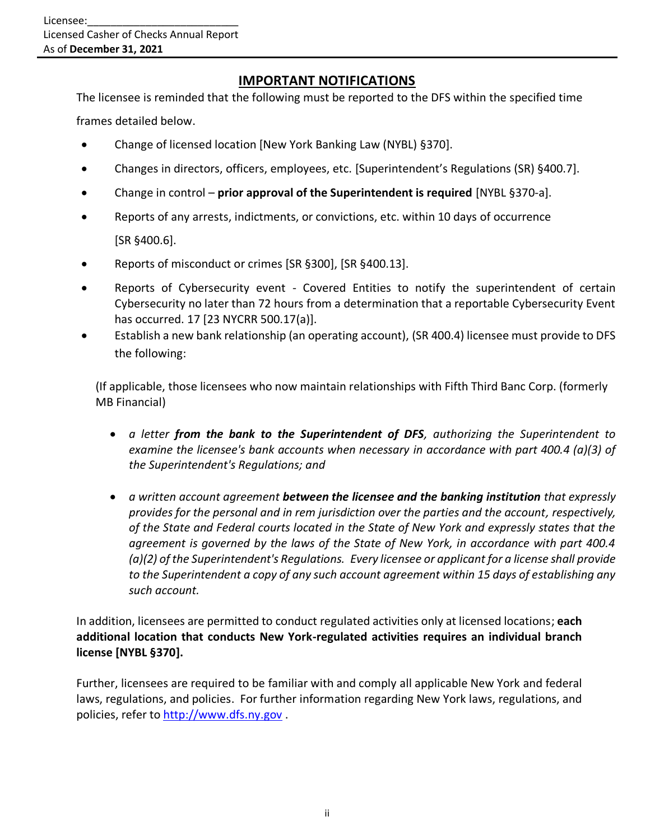# **IMPORTANT NOTIFICATIONS**

The licensee is reminded that the following must be reported to the DFS within the specified time frames detailed below.

- Change of licensed location [New York Banking Law (NYBL) §370].
- Changes in directors, officers, employees, etc. [Superintendent's Regulations (SR) §400.7].
- Change in control **prior approval of the Superintendent is required** [NYBL §370-a].
- Reports of any arrests, indictments, or convictions, etc. within 10 days of occurrence [SR §400.6].
- Reports of misconduct or crimes [SR §300], [SR §400.13].
- Reports of Cybersecurity event Covered Entities to notify the superintendent of certain Cybersecurity no later than 72 hours from a determination that a reportable Cybersecurity Event has occurred. 17 [23 NYCRR 500.17(a)].
- Establish a new bank relationship (an operating account), (SR 400.4) licensee must provide to DFS the following:

(If applicable, those licensees who now maintain relationships with Fifth Third Banc Corp. (formerly MB Financial)

- *a letter from the bank to the Superintendent of DFS, authorizing the Superintendent to examine the licensee's bank accounts when necessary in accordance with part 400.4 (a)(3) of the Superintendent's Regulations; and*
- *a written account agreement between the licensee and the banking institution that expressly provides for the personal and in rem jurisdiction over the parties and the account, respectively, of the State and Federal courts located in the State of New York and expressly states that the agreement is governed by the laws of the State of New York, in accordance with part 400.4 (a)(2) of the Superintendent's Regulations. Every licensee or applicant for a license shall provide to the Superintendent a copy of any such account agreement within 15 days of establishing any such account.*

In addition, licensees are permitted to conduct regulated activities only at licensed locations; **each additional location that conducts New York-regulated activities requires an individual branch license [NYBL §370].**

Further, licensees are required to be familiar with and comply all applicable New York and federal laws, regulations, and policies. For further information regarding New York laws, regulations, and policies, refer to [http://www.dfs.ny.gov](http://www.dfs.ny.gov/) .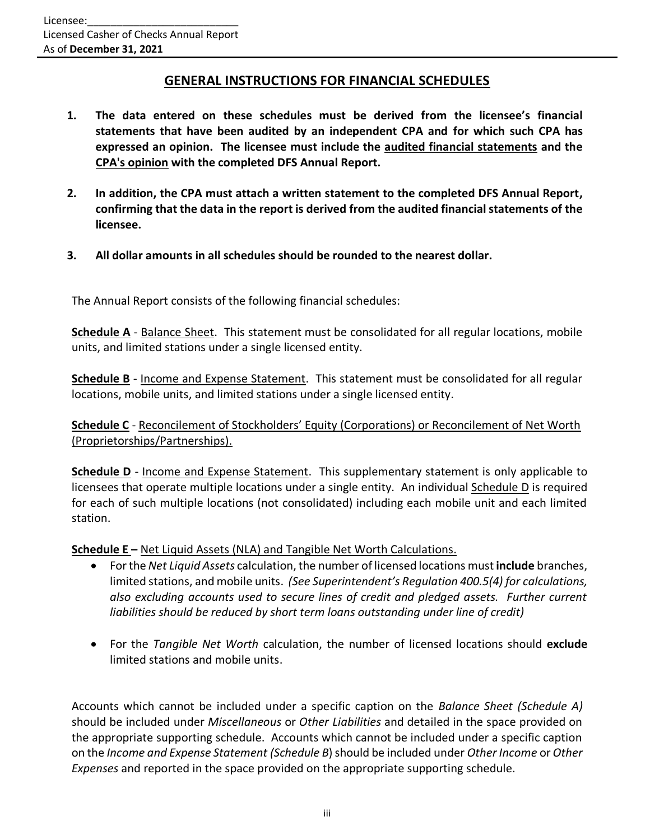## **GENERAL INSTRUCTIONS FOR FINANCIAL SCHEDULES**

- **1. The data entered on these schedules must be derived from the licensee's financial statements that have been audited by an independent CPA and for which such CPA has expressed an opinion. The licensee must include the audited financial statements and the CPA's opinion with the completed DFS Annual Report.**
- **2. In addition, the CPA must attach a written statement to the completed DFS Annual Report, confirming that the data in the report is derived from the audited financial statements of the licensee.**
- **3. All dollar amounts in all schedules should be rounded to the nearest dollar.**

The Annual Report consists of the following financial schedules:

**Schedule A** - Balance Sheet. This statement must be consolidated for all regular locations, mobile units, and limited stations under a single licensed entity.

**Schedule B** - Income and Expense Statement. This statement must be consolidated for all regular locations, mobile units, and limited stations under a single licensed entity.

**Schedule C** - Reconcilement of Stockholders' Equity (Corporations) or Reconcilement of Net Worth (Proprietorships/Partnerships).

**Schedule D** - Income and Expense Statement. This supplementary statement is only applicable to licensees that operate multiple locations under a single entity. An individual Schedule D is required for each of such multiple locations (not consolidated) including each mobile unit and each limited station.

**Schedule E –** Net Liquid Assets (NLA) and Tangible Net Worth Calculations.

- For the *Net Liquid Assets* calculation, the number of licensed locations must**include** branches, limited stations, and mobile units. *(See Superintendent's Regulation 400.5(4) for calculations, also excluding accounts used to secure lines of credit and pledged assets. Further current liabilities should be reduced by short term loans outstanding under line of credit)*
- For the *Tangible Net Worth* calculation, the number of licensed locations should **exclude**  limited stations and mobile units.

Accounts which cannot be included under a specific caption on the *Balance Sheet (Schedule A)* should be included under *Miscellaneous* or *Other Liabilities* and detailed in the space provided on the appropriate supporting schedule. Accounts which cannot be included under a specific caption on the *Income and Expense Statement (Schedule B*) should be included under *Other Income* or *Other Expenses* and reported in the space provided on the appropriate supporting schedule.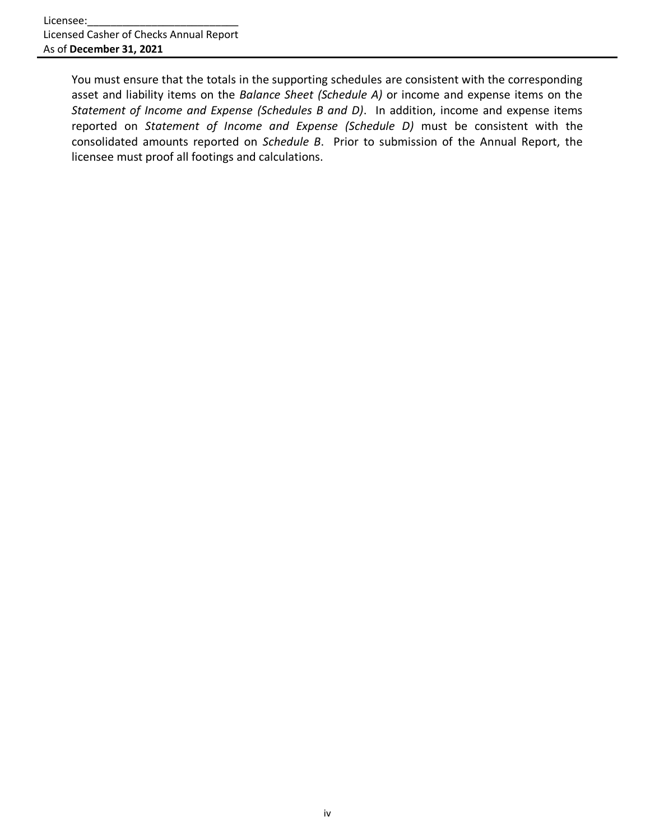You must ensure that the totals in the supporting schedules are consistent with the corresponding asset and liability items on the *Balance Sheet (Schedule A)* or income and expense items on the *Statement of Income and Expense (Schedules B and D)*. In addition, income and expense items reported on *Statement of Income and Expense (Schedule D)* must be consistent with the consolidated amounts reported on *Schedule B*. Prior to submission of the Annual Report, the licensee must proof all footings and calculations.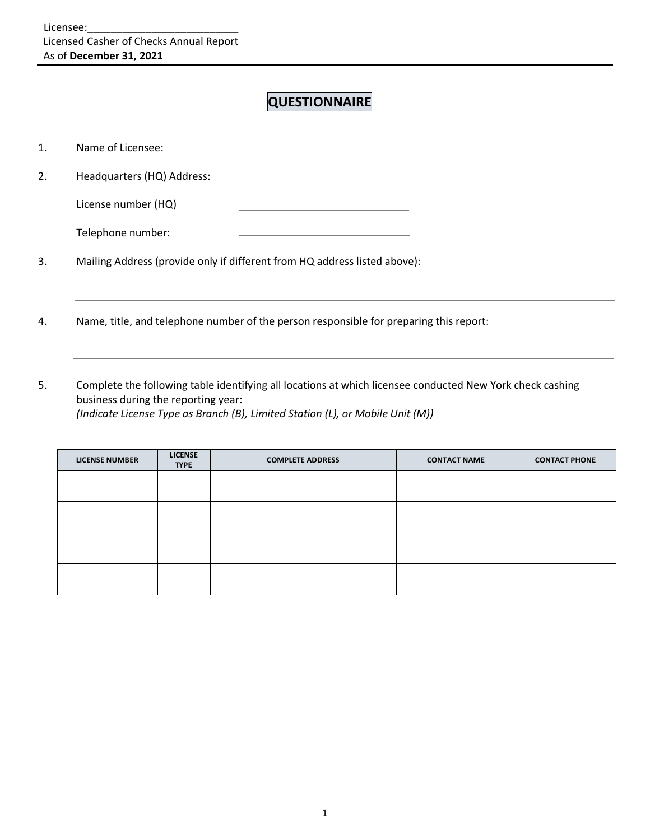# **QUESTIONNAIRE**

| 1. | Name of Licensee:          |                                                                           |  |
|----|----------------------------|---------------------------------------------------------------------------|--|
| 2. | Headquarters (HQ) Address: |                                                                           |  |
|    | License number (HQ)        |                                                                           |  |
|    | Telephone number:          |                                                                           |  |
| 3. |                            | Mailing Address (provide only if different from HQ address listed above): |  |

- 4. Name, title, and telephone number of the person responsible for preparing this report:
- 5. Complete the following table identifying all locations at which licensee conducted New York check cashing business during the reporting year: *(Indicate License Type as Branch (B), Limited Station (L), or Mobile Unit (M))*

| <b>LICENSE NUMBER</b> | <b>LICENSE</b><br><b>TYPE</b> | <b>COMPLETE ADDRESS</b> | <b>CONTACT NAME</b> | <b>CONTACT PHONE</b> |
|-----------------------|-------------------------------|-------------------------|---------------------|----------------------|
|                       |                               |                         |                     |                      |
|                       |                               |                         |                     |                      |
|                       |                               |                         |                     |                      |
|                       |                               |                         |                     |                      |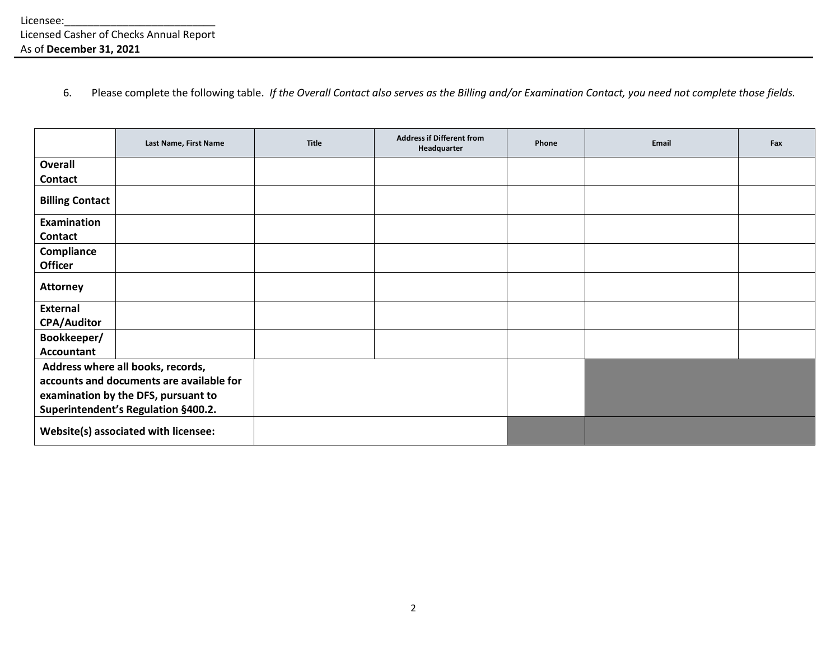6. Please complete the following table. *If the Overall Contact also serves as the Billing and/or Examination Contact, you need not complete those fields.*

|                        | Last Name, First Name                    | Title | <b>Address if Different from</b><br>Headquarter | Phone | Email | Fax |
|------------------------|------------------------------------------|-------|-------------------------------------------------|-------|-------|-----|
| Overall                |                                          |       |                                                 |       |       |     |
| <b>Contact</b>         |                                          |       |                                                 |       |       |     |
| <b>Billing Contact</b> |                                          |       |                                                 |       |       |     |
| Examination            |                                          |       |                                                 |       |       |     |
| <b>Contact</b>         |                                          |       |                                                 |       |       |     |
| Compliance             |                                          |       |                                                 |       |       |     |
| <b>Officer</b>         |                                          |       |                                                 |       |       |     |
| <b>Attorney</b>        |                                          |       |                                                 |       |       |     |
| <b>External</b>        |                                          |       |                                                 |       |       |     |
| <b>CPA/Auditor</b>     |                                          |       |                                                 |       |       |     |
| Bookkeeper/            |                                          |       |                                                 |       |       |     |
| <b>Accountant</b>      |                                          |       |                                                 |       |       |     |
|                        | Address where all books, records,        |       |                                                 |       |       |     |
|                        | accounts and documents are available for |       |                                                 |       |       |     |
|                        | examination by the DFS, pursuant to      |       |                                                 |       |       |     |
|                        | Superintendent's Regulation §400.2.      |       |                                                 |       |       |     |
|                        | Website(s) associated with licensee:     |       |                                                 |       |       |     |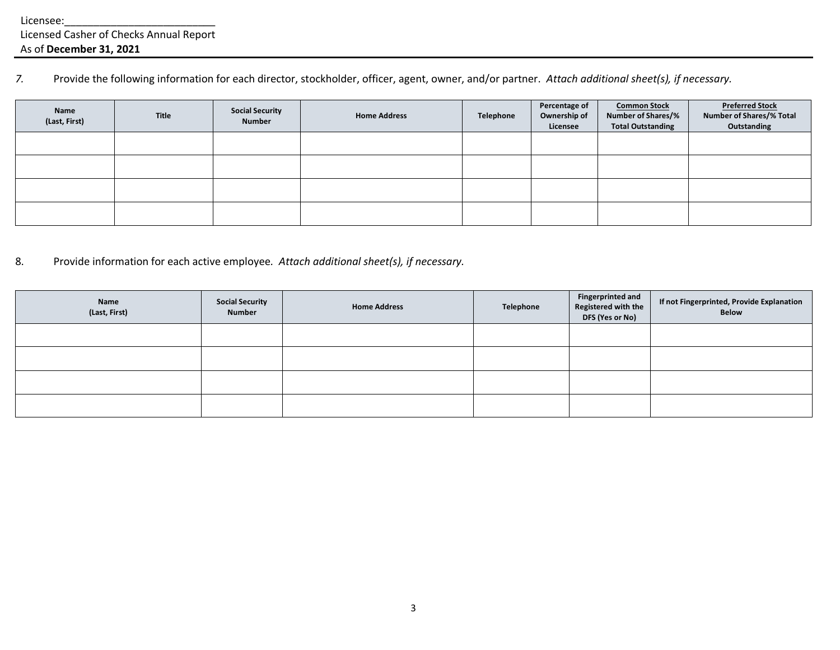*7.* Provide the following information for each director, stockholder, officer, agent, owner, and/or partner. *Attach additional sheet(s), if necessary.*

| <b>Name</b><br>(Last, First) | Title | <b>Social Security</b><br><b>Number</b> | <b>Home Address</b> | Telephone | Percentage of<br>Ownership of<br>Licensee | <b>Common Stock</b><br><b>Number of Shares/%</b><br><b>Total Outstanding</b> | <b>Preferred Stock</b><br><b>Number of Shares/% Total</b><br>Outstanding |
|------------------------------|-------|-----------------------------------------|---------------------|-----------|-------------------------------------------|------------------------------------------------------------------------------|--------------------------------------------------------------------------|
|                              |       |                                         |                     |           |                                           |                                                                              |                                                                          |
|                              |       |                                         |                     |           |                                           |                                                                              |                                                                          |
|                              |       |                                         |                     |           |                                           |                                                                              |                                                                          |
|                              |       |                                         |                     |           |                                           |                                                                              |                                                                          |

8. Provide information for each active employee*. Attach additional sheet(s), if necessary.*

| <b>Name</b><br>(Last, First) | <b>Social Security</b><br><b>Number</b> | <b>Home Address</b> | Telephone | <b>Fingerprinted and</b><br>Registered with the<br>DFS (Yes or No) | If not Fingerprinted, Provide Explanation<br>Below |
|------------------------------|-----------------------------------------|---------------------|-----------|--------------------------------------------------------------------|----------------------------------------------------|
|                              |                                         |                     |           |                                                                    |                                                    |
|                              |                                         |                     |           |                                                                    |                                                    |
|                              |                                         |                     |           |                                                                    |                                                    |
|                              |                                         |                     |           |                                                                    |                                                    |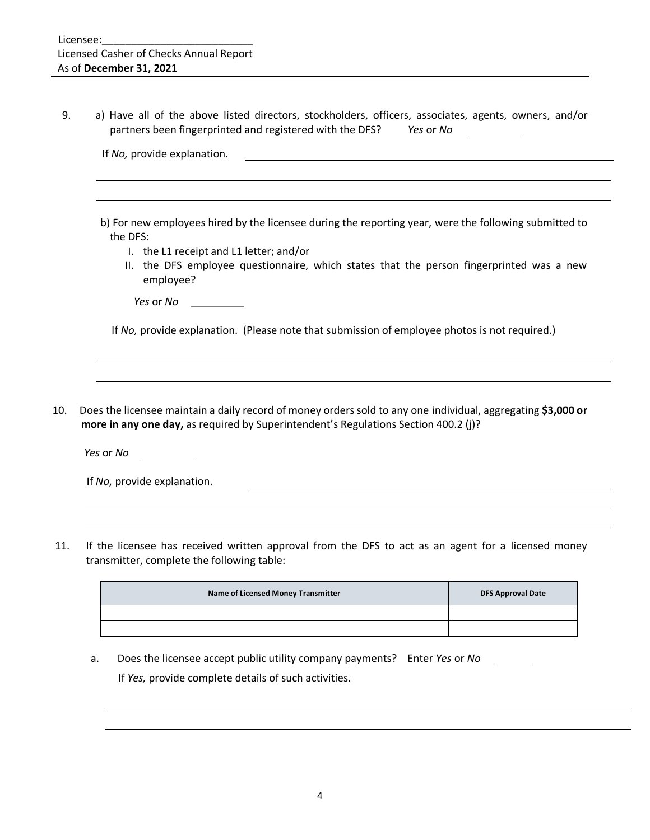9. a) Have all of the above listed directors, stockholders, officers, associates, agents, owners, and/or partners been fingerprinted and registered with the DFS? *Yes* or *No* 

| b) For new employees hired by the licensee during the reporting year, were the following submitted to<br>the DFS:<br>I. the L1 receipt and L1 letter; and/or<br>II. the DFS employee questionnaire, which states that the person fingerprinted was a new |
|----------------------------------------------------------------------------------------------------------------------------------------------------------------------------------------------------------------------------------------------------------|
|                                                                                                                                                                                                                                                          |
|                                                                                                                                                                                                                                                          |
| employee?                                                                                                                                                                                                                                                |
| Yes or No                                                                                                                                                                                                                                                |
| If No, provide explanation. (Please note that submission of employee photos is not required.)                                                                                                                                                            |

**more in any one day,** as required by Superintendent's Regulations Section 400.2 (j)?

*Yes* or *No*

|  |  | If No, provide explanation. |
|--|--|-----------------------------|
|--|--|-----------------------------|

11. If the licensee has received written approval from the DFS to act as an agent for a licensed money transmitter, complete the following table:

| Name of Licensed Money Transmitter | <b>DFS Approval Date</b> |
|------------------------------------|--------------------------|
|                                    |                          |
|                                    |                          |

a. Does the licensee accept public utility company payments? Enter *Yes* or *No* If *Yes,* provide complete details of such activities.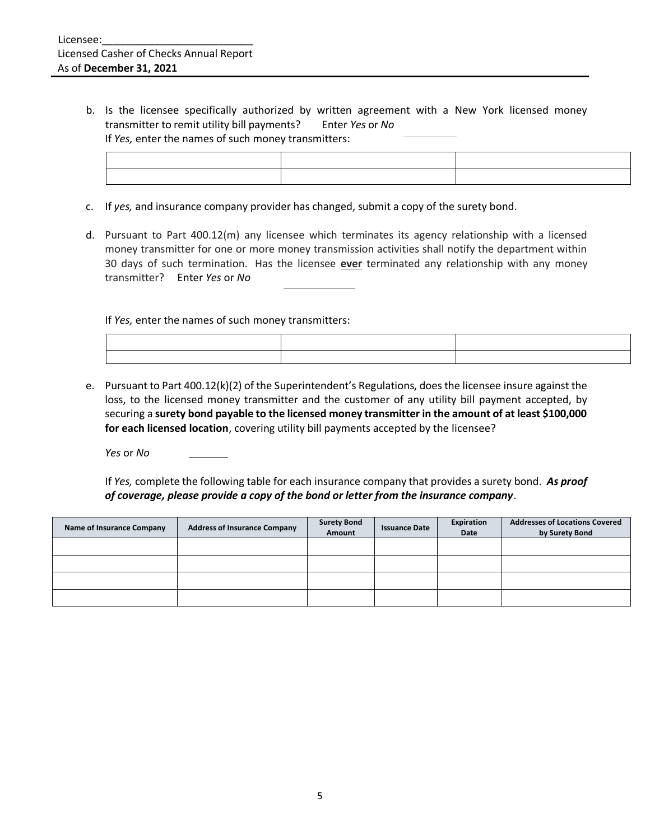b. Is the licensee specifically authorized by written agreement with a New York licensed money transmitter to remit utility bill payments? Enter *Yes* or *No* If *Yes,* enter the names of such money transmitters:

- c. If *yes,* and insurance company provider has changed, submit a copy of the surety bond.
- d. Pursuant to Part 400.12(m) any licensee which terminates its agency relationship with a licensed money transmitter for one or more money transmission activities shall notify the department within 30 days of such termination. Has the licensee **ever** terminated any relationship with any money transmitter? Enter *Yes* or *No*

If *Yes,* enter the names of such money transmitters:

e. Pursuant to Part 400.12(k)(2) of the Superintendent's Regulations, does the licensee insure against the loss, to the licensed money transmitter and the customer of any utility bill payment accepted, by securing a **surety bond payable to the licensed money transmitter in the amount of at least \$100,000 for each licensed location**, covering utility bill payments accepted by the licensee?

*Yes* or *No*

If *Yes,* complete the following table for each insurance company that provides a surety bond. *As proof of coverage, please provide a copy of the bond or letter from the insurance company*.

| Name of Insurance Company | <b>Address of Insurance Company</b> | <b>Surety Bond</b><br>Amount | <b>Issuance Date</b> | Expiration<br>Date | <b>Addresses of Locations Covered</b><br>by Surety Bond |
|---------------------------|-------------------------------------|------------------------------|----------------------|--------------------|---------------------------------------------------------|
|                           |                                     |                              |                      |                    |                                                         |
|                           |                                     |                              |                      |                    |                                                         |
|                           |                                     |                              |                      |                    |                                                         |
|                           |                                     |                              |                      |                    |                                                         |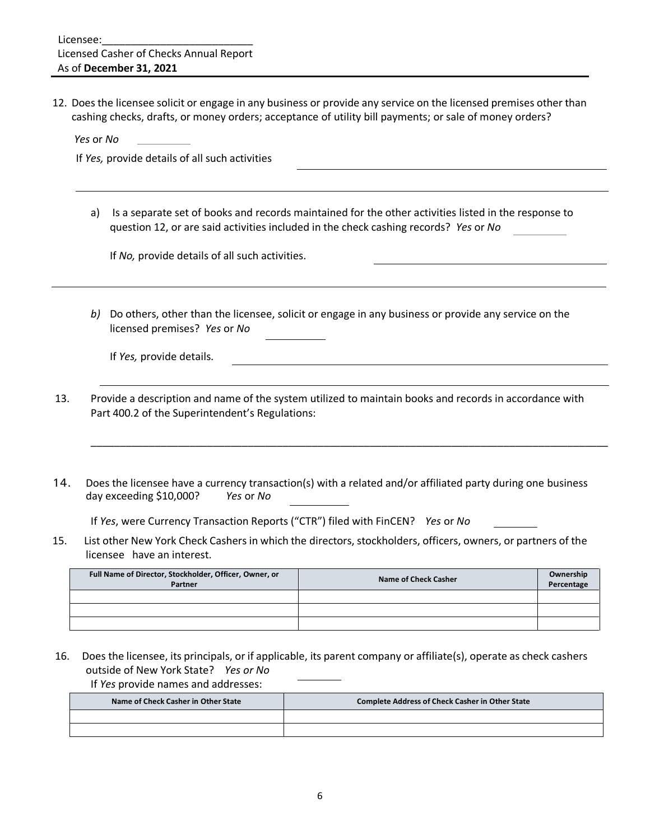12. Does the licensee solicit or engage in any business or provide any service on the licensed premises other than cashing checks, drafts, or money orders; acceptance of utility bill payments; or sale of money orders?

*Yes* or *No*

If *Yes,* provide details of all such activities

a) Is a separate set of books and records maintained for the other activities listed in the response to question 12, or are said activities included in the check cashing records? *Yes* or *No*

If *No,* provide details of all such activities.

*b)* Do others, other than the licensee, solicit or engage in any business or provide any service on the licensed premises? *Yes* or *No* 

If *Yes,* provide details.

- 13. Provide a description and name of the system utilized to maintain books and records in accordance with Part 400.2 of the Superintendent's Regulations:
- 14. Does the licensee have a currency transaction(s) with a related and/or affiliated party during one business day exceeding \$10,000? *Yes* or *No*

\_\_\_\_\_\_\_\_\_\_\_\_\_\_\_\_\_\_\_\_\_\_\_\_\_\_\_\_\_\_\_\_\_\_\_\_\_\_\_\_\_\_\_\_\_\_\_\_\_\_\_\_\_\_\_\_\_\_\_\_\_\_\_\_\_\_\_\_\_\_\_\_\_\_\_\_\_\_\_\_\_\_\_\_\_\_\_\_\_

If *Yes*, were Currency Transaction Reports ("CTR") filed with FinCEN? *Yes* or *No* 

15. List other New York Check Cashers in which the directors, stockholders, officers, owners, or partners of the licensee have an interest.

| Full Name of Director, Stockholder, Officer, Owner, or<br>Partner | Name of Check Casher | Ownership<br>Percentage |
|-------------------------------------------------------------------|----------------------|-------------------------|
|                                                                   |                      |                         |
|                                                                   |                      |                         |
|                                                                   |                      |                         |

16. Does the licensee, its principals, or if applicable, its parent company or affiliate(s), operate as check cashers outside of New York State? *Yes or No* 

If *Yes* provide names and addresses:

| Name of Check Casher in Other State | <b>Complete Address of Check Casher in Other State</b> |
|-------------------------------------|--------------------------------------------------------|
|                                     |                                                        |
|                                     |                                                        |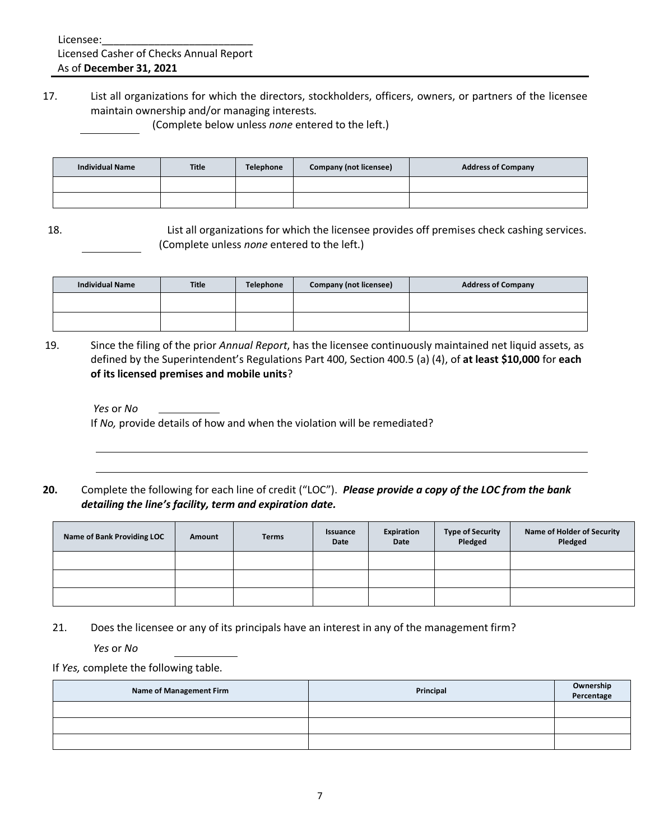17. List all organizations for which the directors, stockholders, officers, owners, or partners of the licensee maintain ownership and/or managing interests.

(Complete below unless *none* entered to the left.)

| <b>Individual Name</b> | <b>Title</b> | <b>Telephone</b> | Company (not licensee) | <b>Address of Company</b> |
|------------------------|--------------|------------------|------------------------|---------------------------|
|                        |              |                  |                        |                           |
|                        |              |                  |                        |                           |

18. List all organizations for which the licensee provides off premises check cashing services. (Complete unless *none* entered to the left.)

| <b>Individual Name</b> | <b>Title</b> | <b>Telephone</b> | <b>Company (not licensee)</b> | <b>Address of Company</b> |
|------------------------|--------------|------------------|-------------------------------|---------------------------|
|                        |              |                  |                               |                           |
|                        |              |                  |                               |                           |

19. Since the filing of the prior *Annual Report*, has the licensee continuously maintained net liquid assets, as defined by the Superintendent's Regulations Part 400, Section 400.5 (a) (4), of **at least \$10,000** for **each of its licensed premises and mobile units**?

*Yes* or *No* If *No,* provide details of how and when the violation will be remediated?

**20.** Complete the following for each line of credit ("LOC"). *Please provide a copy of the LOC from the bank detailing the line's facility, term and expiration date.*

| Name of Bank Providing LOC | Amount | <b>Terms</b> | Issuance<br>Date | Expiration<br>Date | <b>Type of Security</b><br>Pledged | <b>Name of Holder of Security</b><br>Pledged |
|----------------------------|--------|--------------|------------------|--------------------|------------------------------------|----------------------------------------------|
|                            |        |              |                  |                    |                                    |                                              |
|                            |        |              |                  |                    |                                    |                                              |
|                            |        |              |                  |                    |                                    |                                              |

21. Does the licensee or any of its principals have an interest in any of the management firm?

*Yes* or *No*

If *Yes,* complete the following table.

| <b>Name of Management Firm</b> | Principal | Ownership<br>Percentage |
|--------------------------------|-----------|-------------------------|
|                                |           |                         |
|                                |           |                         |
|                                |           |                         |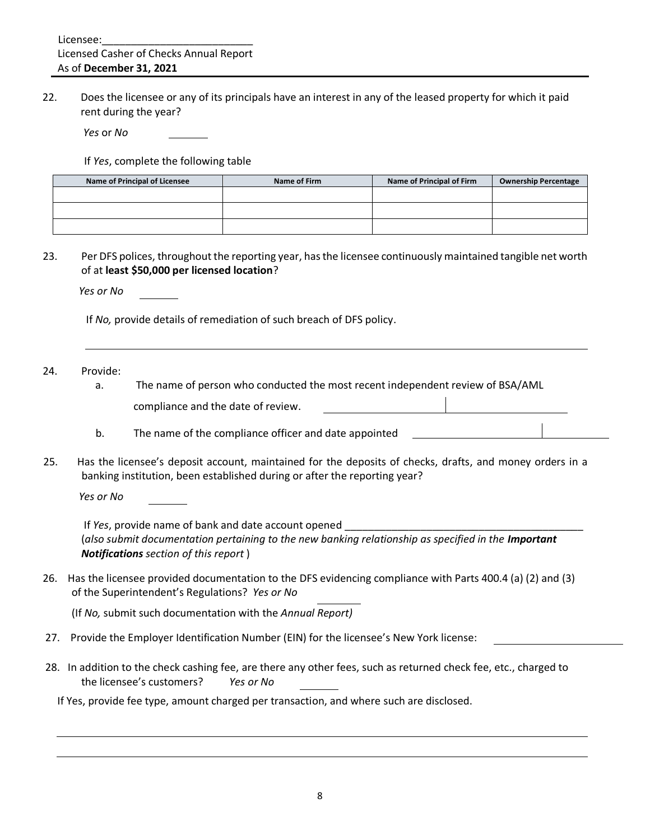22. Does the licensee or any of its principals have an interest in any of the leased property for which it paid rent during the year?

*Yes* or *No*

If *Yes*, complete the following table

| Name of Principal of Licensee | Name of Firm | Name of Principal of Firm | <b>Ownership Percentage</b> |
|-------------------------------|--------------|---------------------------|-----------------------------|
|                               |              |                           |                             |
|                               |              |                           |                             |
|                               |              |                           |                             |

23. Per DFS polices, throughout the reporting year, has the licensee continuously maintained tangible net worth of at **least \$50,000 per licensed location**?

 *Yes or No*

If *No,* provide details of remediation of such breach of DFS policy.

#### 24. Provide:

- a. The name of person who conducted the most recent independent review of BSA/AML compliance and the date of review.
- b. The name of the compliance officer and date appointed
- 25. Has the licensee's deposit account, maintained for the deposits of checks, drafts, and money orders in a banking institution, been established during or after the reporting year?

 *Yes or No*

If *Yes*, provide name of bank and date account opened \_\_\_\_\_ (also submit documentation pertaining to the new banking relationship as specified in the *Important Notifications section of this report* )

26. Has the licensee provided documentation to the DFS evidencing compliance with Parts 400.4 (a) (2) and (3) of the Superintendent's Regulations? *Yes or No*

(If *No,* submit such documentation with the *Annual Report)*

- 27. Provide the Employer Identification Number (EIN) for the licensee's New York license:
- 28. In addition to the check cashing fee, are there any other fees, such as returned check fee, etc., charged to the licensee's customers? *Yes or No*

If Yes, provide fee type, amount charged per transaction, and where such are disclosed.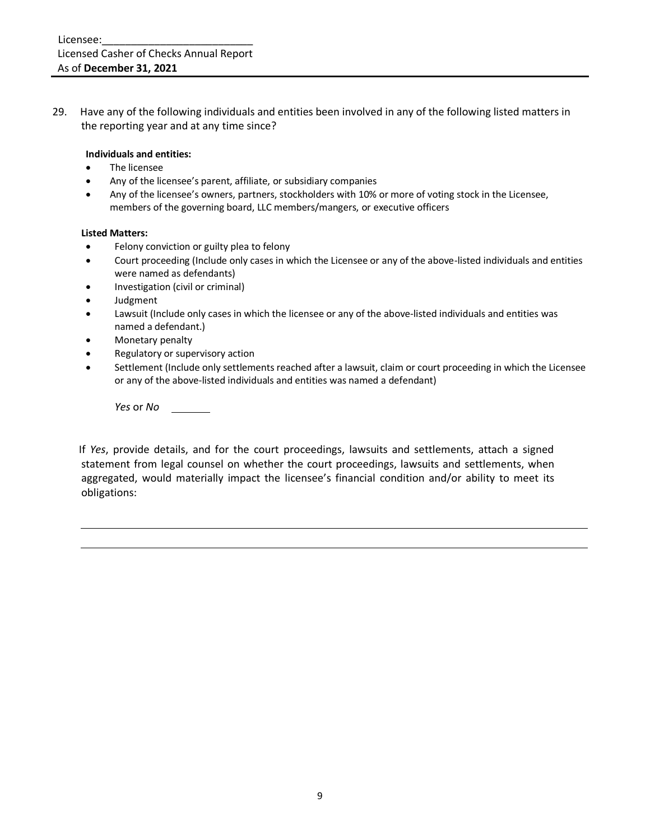29. Have any of the following individuals and entities been involved in any of the following listed matters in the reporting year and at any time since?

#### **Individuals and entities:**

- The licensee
- Any of the licensee's parent, affiliate, or subsidiary companies
- Any of the licensee's owners, partners, stockholders with 10% or more of voting stock in the Licensee, members of the governing board, LLC members/mangers, or executive officers

#### **Listed Matters:**

- Felony conviction or guilty plea to felony
- Court proceeding (Include only cases in which the Licensee or any of the above-listed individuals and entities were named as defendants)
- Investigation (civil or criminal)
- Judgment
- Lawsuit (Include only cases in which the licensee or any of the above-listed individuals and entities was named a defendant.)
- Monetary penalty
- Regulatory or supervisory action
- Settlement (Include only settlements reached after a lawsuit, claim or court proceeding in which the Licensee or any of the above-listed individuals and entities was named a defendant)

*Yes* or *No*

If *Yes*, provide details, and for the court proceedings, lawsuits and settlements, attach a signed statement from legal counsel on whether the court proceedings, lawsuits and settlements, when aggregated, would materially impact the licensee's financial condition and/or ability to meet its obligations: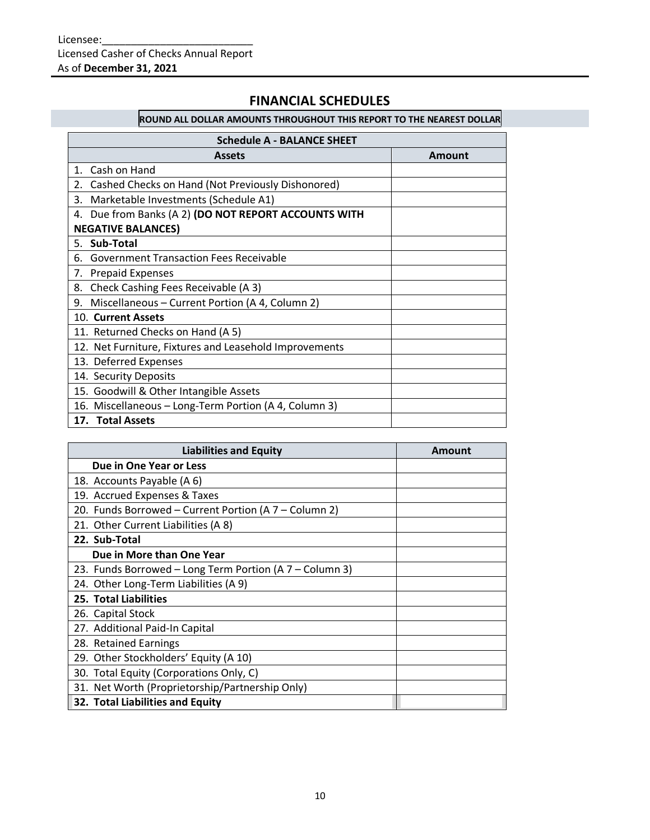## **FINANCIAL SCHEDULES**

# **ROUND ALL DOLLAR AMOUNTS THROUGHOUT THIS REPORT TO THE NEAREST DOLLAR**

| <b>Schedule A - BALANCE SHEET</b>                       |        |  |  |
|---------------------------------------------------------|--------|--|--|
| <b>Assets</b>                                           | Amount |  |  |
| 1. Cash on Hand                                         |        |  |  |
| Cashed Checks on Hand (Not Previously Dishonored)<br>2. |        |  |  |
| Marketable Investments (Schedule A1)<br>3.              |        |  |  |
| 4. Due from Banks (A 2) (DO NOT REPORT ACCOUNTS WITH    |        |  |  |
| <b>NEGATIVE BALANCES)</b>                               |        |  |  |
| 5. Sub-Total                                            |        |  |  |
| 6. Government Transaction Fees Receivable               |        |  |  |
| 7. Prepaid Expenses                                     |        |  |  |
| Check Cashing Fees Receivable (A 3)<br>8.               |        |  |  |
| Miscellaneous - Current Portion (A 4, Column 2)<br>9.   |        |  |  |
| 10. Current Assets                                      |        |  |  |
| 11. Returned Checks on Hand (A 5)                       |        |  |  |
| 12. Net Furniture, Fixtures and Leasehold Improvements  |        |  |  |
| 13. Deferred Expenses                                   |        |  |  |
| 14. Security Deposits                                   |        |  |  |
| 15. Goodwill & Other Intangible Assets                  |        |  |  |
| 16. Miscellaneous - Long-Term Portion (A 4, Column 3)   |        |  |  |
| 17. Total Assets                                        |        |  |  |

| <b>Liabilities and Equity</b>                           | Amount |
|---------------------------------------------------------|--------|
| Due in One Year or Less                                 |        |
| 18. Accounts Payable (A 6)                              |        |
| 19. Accrued Expenses & Taxes                            |        |
| 20. Funds Borrowed - Current Portion (A 7 - Column 2)   |        |
| 21. Other Current Liabilities (A 8)                     |        |
| 22. Sub-Total                                           |        |
| Due in More than One Year                               |        |
| 23. Funds Borrowed - Long Term Portion (A 7 - Column 3) |        |
| 24. Other Long-Term Liabilities (A 9)                   |        |
| 25. Total Liabilities                                   |        |
| 26. Capital Stock                                       |        |
| 27. Additional Paid-In Capital                          |        |
| 28. Retained Earnings                                   |        |
| 29. Other Stockholders' Equity (A 10)                   |        |
| 30. Total Equity (Corporations Only, C)                 |        |
| 31. Net Worth (Proprietorship/Partnership Only)         |        |
| 32. Total Liabilities and Equity                        |        |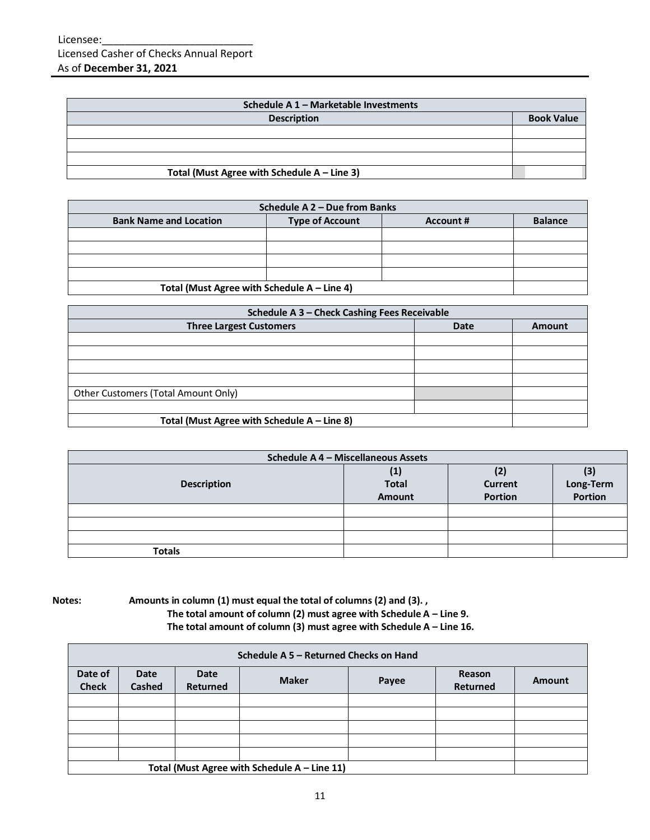| Schedule A 1 - Marketable Investments          |                   |  |  |
|------------------------------------------------|-------------------|--|--|
| <b>Description</b>                             | <b>Book Value</b> |  |  |
|                                                |                   |  |  |
|                                                |                   |  |  |
|                                                |                   |  |  |
| Total (Must Agree with Schedule $A - Line 3$ ) |                   |  |  |

| Schedule A 2 - Due from Banks                 |                        |           |                |  |
|-----------------------------------------------|------------------------|-----------|----------------|--|
| <b>Bank Name and Location</b>                 | <b>Type of Account</b> | Account # | <b>Balance</b> |  |
|                                               |                        |           |                |  |
|                                               |                        |           |                |  |
|                                               |                        |           |                |  |
|                                               |                        |           |                |  |
| Total (Must Agree with Schedule $A -$ Line 4) |                        |           |                |  |

| Schedule A 3 - Check Cashing Fees Receivable |             |               |  |
|----------------------------------------------|-------------|---------------|--|
| <b>Three Largest Customers</b>               | <b>Date</b> | <b>Amount</b> |  |
|                                              |             |               |  |
|                                              |             |               |  |
|                                              |             |               |  |
|                                              |             |               |  |
| Other Customers (Total Amount Only)          |             |               |  |
|                                              |             |               |  |
| Total (Must Agree with Schedule A - Line 8)  |             |               |  |

| Schedule A 4 - Miscellaneous Assets |                    |                             |  |  |
|-------------------------------------|--------------------|-----------------------------|--|--|
| <b>Description</b>                  | Current<br>Portion | (3)<br>Long-Term<br>Portion |  |  |
|                                     |                    |                             |  |  |
|                                     |                    |                             |  |  |
|                                     |                    |                             |  |  |
| <b>Totals</b>                       |                    |                             |  |  |

### **Notes: Amounts in column (1) must equal the total of columns (2) and (3). , The total amount of column (2) must agree with Schedule A – Line 9. The total amount of column (3) must agree with Schedule A – Line 16.**

|                                                | Schedule A 5 - Returned Checks on Hand |                                |              |       |                           |        |  |
|------------------------------------------------|----------------------------------------|--------------------------------|--------------|-------|---------------------------|--------|--|
| Date of<br><b>Check</b>                        | Date<br>Cashed                         | <b>Date</b><br><b>Returned</b> | <b>Maker</b> | Payee | Reason<br><b>Returned</b> | Amount |  |
|                                                |                                        |                                |              |       |                           |        |  |
|                                                |                                        |                                |              |       |                           |        |  |
|                                                |                                        |                                |              |       |                           |        |  |
|                                                |                                        |                                |              |       |                           |        |  |
|                                                |                                        |                                |              |       |                           |        |  |
| Total (Must Agree with Schedule $A -$ Line 11) |                                        |                                |              |       |                           |        |  |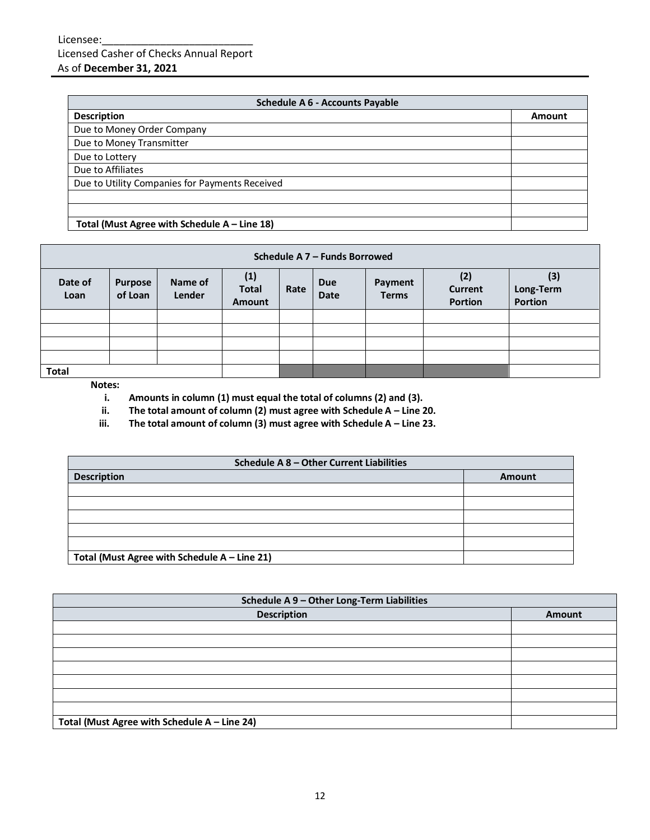| <b>Schedule A 6 - Accounts Payable</b>         |        |  |
|------------------------------------------------|--------|--|
| <b>Description</b>                             | Amount |  |
| Due to Money Order Company                     |        |  |
| Due to Money Transmitter                       |        |  |
| Due to Lottery                                 |        |  |
| Due to Affiliates                              |        |  |
| Due to Utility Companies for Payments Received |        |  |
|                                                |        |  |
|                                                |        |  |
| Total (Must Agree with Schedule $A -$ Line 18) |        |  |

| Schedule A 7 - Funds Borrowed                                                                                                                                                                   |  |  |  |  |  |                             |  |
|-------------------------------------------------------------------------------------------------------------------------------------------------------------------------------------------------|--|--|--|--|--|-----------------------------|--|
| (1)<br>(2)<br>Name of<br>Date of<br><b>Due</b><br>Payment<br><b>Purpose</b><br><b>Total</b><br>Current<br>Rate<br>of Loan<br>Lender<br><b>Terms</b><br><b>Date</b><br>Loan<br>Portion<br>Amount |  |  |  |  |  | (3)<br>Long-Term<br>Portion |  |
|                                                                                                                                                                                                 |  |  |  |  |  |                             |  |
|                                                                                                                                                                                                 |  |  |  |  |  |                             |  |
|                                                                                                                                                                                                 |  |  |  |  |  |                             |  |
|                                                                                                                                                                                                 |  |  |  |  |  |                             |  |
| Total                                                                                                                                                                                           |  |  |  |  |  |                             |  |

### **Notes:**

**i. Amounts in column (1) must equal the total of columns (2) and (3).**

**ii.** The total amount of column (2) must agree with Schedule A – Line 20.

**iii.** The total amount of column (3) must agree with Schedule A - Line 23.

| Schedule A 8 - Other Current Liabilities     |               |  |  |
|----------------------------------------------|---------------|--|--|
| <b>Description</b>                           | <b>Amount</b> |  |  |
|                                              |               |  |  |
|                                              |               |  |  |
|                                              |               |  |  |
|                                              |               |  |  |
|                                              |               |  |  |
| Total (Must Agree with Schedule A - Line 21) |               |  |  |

| Schedule A 9 - Other Long-Term Liabilities   |        |  |  |
|----------------------------------------------|--------|--|--|
| <b>Description</b>                           | Amount |  |  |
|                                              |        |  |  |
|                                              |        |  |  |
|                                              |        |  |  |
|                                              |        |  |  |
|                                              |        |  |  |
|                                              |        |  |  |
|                                              |        |  |  |
| Total (Must Agree with Schedule A - Line 24) |        |  |  |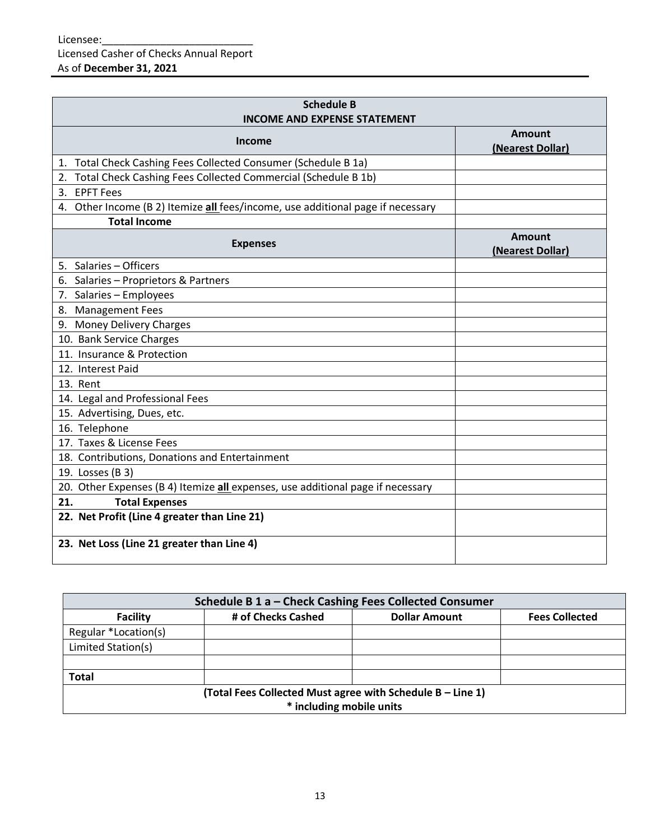| <b>Schedule B</b><br><b>INCOME AND EXPENSE STATEMENT</b>                        |                                   |
|---------------------------------------------------------------------------------|-----------------------------------|
| Income                                                                          | <b>Amount</b><br>(Nearest Dollar) |
| 1. Total Check Cashing Fees Collected Consumer (Schedule B 1a)                  |                                   |
| Total Check Cashing Fees Collected Commercial (Schedule B 1b)<br>2.             |                                   |
| 3. EPFT Fees                                                                    |                                   |
| 4. Other Income (B 2) Itemize all fees/income, use additional page if necessary |                                   |
| <b>Total Income</b>                                                             |                                   |
| <b>Expenses</b>                                                                 | <b>Amount</b><br>(Nearest Dollar) |
| 5. Salaries - Officers                                                          |                                   |
| 6. Salaries - Proprietors & Partners                                            |                                   |
| 7. Salaries - Employees                                                         |                                   |
| 8. Management Fees                                                              |                                   |
| 9. Money Delivery Charges                                                       |                                   |
| 10. Bank Service Charges                                                        |                                   |
| 11. Insurance & Protection                                                      |                                   |
| 12. Interest Paid                                                               |                                   |
| 13. Rent                                                                        |                                   |
| 14. Legal and Professional Fees                                                 |                                   |
| 15. Advertising, Dues, etc.                                                     |                                   |
| 16. Telephone                                                                   |                                   |
| 17. Taxes & License Fees                                                        |                                   |
| 18. Contributions, Donations and Entertainment                                  |                                   |
| 19. Losses (B 3)                                                                |                                   |
| 20. Other Expenses (B 4) Itemize all expenses, use additional page if necessary |                                   |
| <b>Total Expenses</b><br>21.                                                    |                                   |
| 22. Net Profit (Line 4 greater than Line 21)                                    |                                   |
| 23. Net Loss (Line 21 greater than Line 4)                                      |                                   |

| Schedule B 1 a - Check Cashing Fees Collected Consumer     |                    |                      |                       |  |  |  |
|------------------------------------------------------------|--------------------|----------------------|-----------------------|--|--|--|
| <b>Facility</b>                                            | # of Checks Cashed | <b>Dollar Amount</b> | <b>Fees Collected</b> |  |  |  |
| Regular *Location(s)                                       |                    |                      |                       |  |  |  |
| Limited Station(s)                                         |                    |                      |                       |  |  |  |
|                                                            |                    |                      |                       |  |  |  |
| <b>Total</b>                                               |                    |                      |                       |  |  |  |
| (Total Fees Collected Must agree with Schedule B - Line 1) |                    |                      |                       |  |  |  |
| * including mobile units                                   |                    |                      |                       |  |  |  |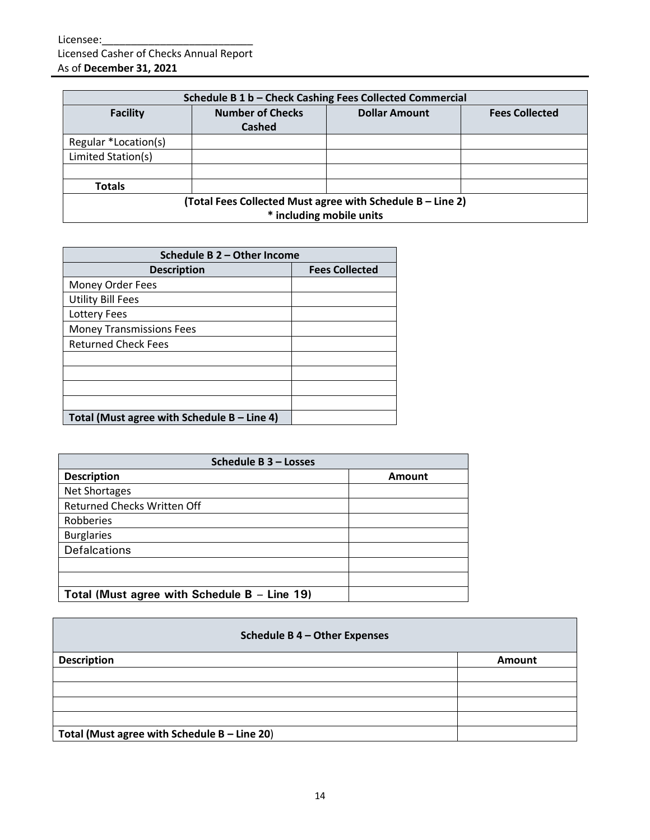| Schedule B 1 b - Check Cashing Fees Collected Commercial |                                                                                        |                      |                       |  |  |
|----------------------------------------------------------|----------------------------------------------------------------------------------------|----------------------|-----------------------|--|--|
| <b>Facility</b>                                          | <b>Number of Checks</b><br><b>Cashed</b>                                               | <b>Dollar Amount</b> | <b>Fees Collected</b> |  |  |
| Regular *Location(s)                                     |                                                                                        |                      |                       |  |  |
| Limited Station(s)                                       |                                                                                        |                      |                       |  |  |
|                                                          |                                                                                        |                      |                       |  |  |
| <b>Totals</b>                                            |                                                                                        |                      |                       |  |  |
|                                                          | (Total Fees Collected Must agree with Schedule B - Line 2)<br>* including mobile units |                      |                       |  |  |

| Schedule B 2 - Other Income                 |                       |  |  |
|---------------------------------------------|-----------------------|--|--|
| <b>Description</b>                          | <b>Fees Collected</b> |  |  |
| Money Order Fees                            |                       |  |  |
| <b>Utility Bill Fees</b>                    |                       |  |  |
| Lottery Fees                                |                       |  |  |
| <b>Money Transmissions Fees</b>             |                       |  |  |
| <b>Returned Check Fees</b>                  |                       |  |  |
|                                             |                       |  |  |
|                                             |                       |  |  |
|                                             |                       |  |  |
|                                             |                       |  |  |
| Total (Must agree with Schedule B - Line 4) |                       |  |  |

| Schedule B 3 - Losses                          |        |  |  |
|------------------------------------------------|--------|--|--|
| <b>Description</b>                             | Amount |  |  |
| <b>Net Shortages</b>                           |        |  |  |
| <b>Returned Checks Written Off</b>             |        |  |  |
| Robberies                                      |        |  |  |
| <b>Burglaries</b>                              |        |  |  |
| Defalcations                                   |        |  |  |
|                                                |        |  |  |
|                                                |        |  |  |
| Total (Must agree with Schedule B $-$ Line 19) |        |  |  |

| Schedule B 4 - Other Expenses                |        |  |  |
|----------------------------------------------|--------|--|--|
| <b>Description</b>                           | Amount |  |  |
|                                              |        |  |  |
|                                              |        |  |  |
|                                              |        |  |  |
|                                              |        |  |  |
| Total (Must agree with Schedule B - Line 20) |        |  |  |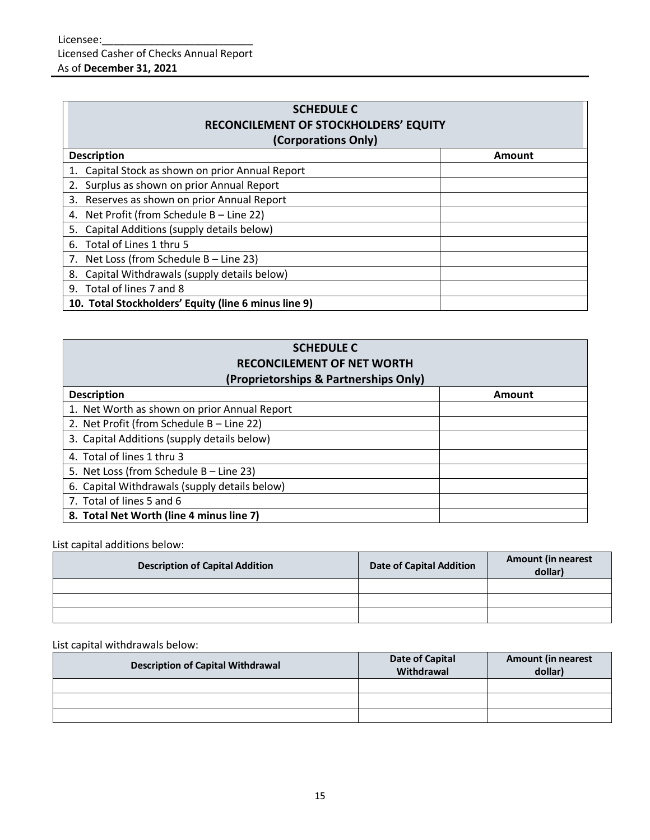| <b>SCHEDULE C</b><br><b>RECONCILEMENT OF STOCKHOLDERS' EQUITY</b> |        |  |  |  |  |
|-------------------------------------------------------------------|--------|--|--|--|--|
| (Corporations Only)                                               |        |  |  |  |  |
| <b>Description</b>                                                | Amount |  |  |  |  |
| Capital Stock as shown on prior Annual Report                     |        |  |  |  |  |
| 2. Surplus as shown on prior Annual Report                        |        |  |  |  |  |
| 3. Reserves as shown on prior Annual Report                       |        |  |  |  |  |
| 4. Net Profit (from Schedule B - Line 22)                         |        |  |  |  |  |
| Capital Additions (supply details below)<br>5.                    |        |  |  |  |  |
| Total of Lines 1 thru 5<br>6.                                     |        |  |  |  |  |
| 7. Net Loss (from Schedule B - Line 23)                           |        |  |  |  |  |
| Capital Withdrawals (supply details below)<br>8.                  |        |  |  |  |  |
| 9. Total of lines 7 and 8                                         |        |  |  |  |  |
| 10. Total Stockholders' Equity (line 6 minus line 9)              |        |  |  |  |  |

## **SCHEDULE C RECONCILEMENT OF NET WORTH (Proprietorships & Partnerships Only)**

| $(100)$ returnships $\alpha$ rail the ships $\sigma$ in $\gamma$ |               |  |  |  |  |
|------------------------------------------------------------------|---------------|--|--|--|--|
| <b>Description</b>                                               | <b>Amount</b> |  |  |  |  |
| 1. Net Worth as shown on prior Annual Report                     |               |  |  |  |  |
| 2. Net Profit (from Schedule B - Line 22)                        |               |  |  |  |  |
| 3. Capital Additions (supply details below)                      |               |  |  |  |  |
| 4. Total of lines 1 thru 3                                       |               |  |  |  |  |
| 5. Net Loss (from Schedule B - Line 23)                          |               |  |  |  |  |
| 6. Capital Withdrawals (supply details below)                    |               |  |  |  |  |
| 7. Total of lines 5 and 6                                        |               |  |  |  |  |
| 8. Total Net Worth (line 4 minus line 7)                         |               |  |  |  |  |

List capital additions below:

| <b>Description of Capital Addition</b> | <b>Date of Capital Addition</b> | <b>Amount (in nearest</b><br>dollar) |
|----------------------------------------|---------------------------------|--------------------------------------|
|                                        |                                 |                                      |
|                                        |                                 |                                      |
|                                        |                                 |                                      |

## List capital withdrawals below:

| <b>Description of Capital Withdrawal</b> | Date of Capital<br>Withdrawal | <b>Amount (in nearest</b><br>dollar) |
|------------------------------------------|-------------------------------|--------------------------------------|
|                                          |                               |                                      |
|                                          |                               |                                      |
|                                          |                               |                                      |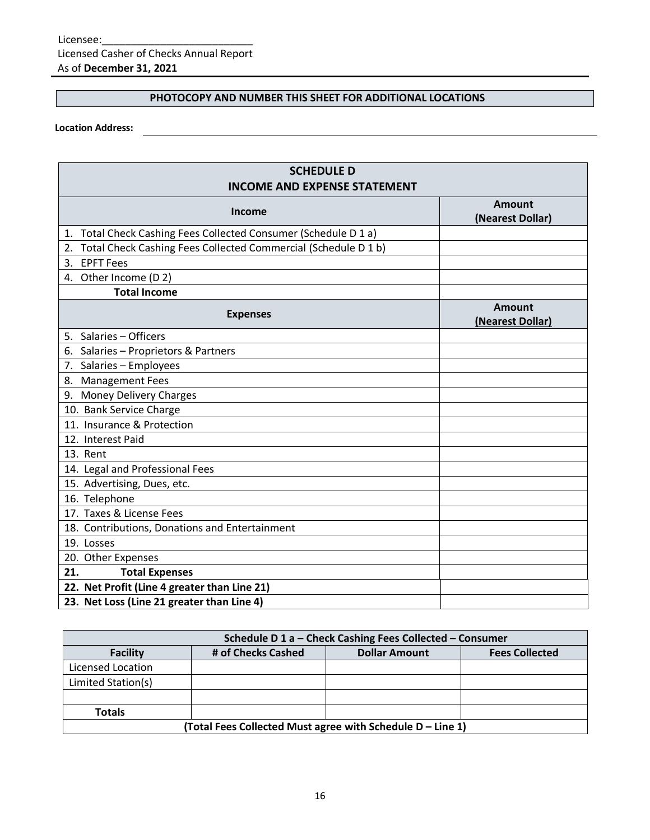### **PHOTOCOPY AND NUMBER THIS SHEET FOR ADDITIONAL LOCATIONS**

### **Location Address:**

| <b>SCHEDULE D</b><br><b>INCOME AND EXPENSE STATEMENT</b>             |                                   |  |  |  |  |  |  |
|----------------------------------------------------------------------|-----------------------------------|--|--|--|--|--|--|
| <b>Income</b>                                                        | <b>Amount</b><br>(Nearest Dollar) |  |  |  |  |  |  |
| Total Check Cashing Fees Collected Consumer (Schedule D 1 a)<br>1.   |                                   |  |  |  |  |  |  |
| Total Check Cashing Fees Collected Commercial (Schedule D 1 b)<br>2. |                                   |  |  |  |  |  |  |
| <b>EPFT Fees</b><br>3.                                               |                                   |  |  |  |  |  |  |
| 4. Other Income (D 2)                                                |                                   |  |  |  |  |  |  |
| <b>Total Income</b>                                                  |                                   |  |  |  |  |  |  |
| <b>Expenses</b>                                                      | <b>Amount</b><br>(Nearest Dollar) |  |  |  |  |  |  |
| 5. Salaries - Officers                                               |                                   |  |  |  |  |  |  |
| 6. Salaries - Proprietors & Partners                                 |                                   |  |  |  |  |  |  |
| 7. Salaries - Employees                                              |                                   |  |  |  |  |  |  |
| 8. Management Fees                                                   |                                   |  |  |  |  |  |  |
| 9. Money Delivery Charges                                            |                                   |  |  |  |  |  |  |
| 10. Bank Service Charge                                              |                                   |  |  |  |  |  |  |
| 11. Insurance & Protection                                           |                                   |  |  |  |  |  |  |
| 12. Interest Paid                                                    |                                   |  |  |  |  |  |  |
| 13. Rent                                                             |                                   |  |  |  |  |  |  |
| 14. Legal and Professional Fees                                      |                                   |  |  |  |  |  |  |
| 15. Advertising, Dues, etc.                                          |                                   |  |  |  |  |  |  |
| 16. Telephone                                                        |                                   |  |  |  |  |  |  |
| 17. Taxes & License Fees                                             |                                   |  |  |  |  |  |  |
| 18. Contributions, Donations and Entertainment                       |                                   |  |  |  |  |  |  |
| 19. Losses                                                           |                                   |  |  |  |  |  |  |
| 20. Other Expenses                                                   |                                   |  |  |  |  |  |  |
| 21.<br><b>Total Expenses</b>                                         |                                   |  |  |  |  |  |  |
| 22. Net Profit (Line 4 greater than Line 21)                         |                                   |  |  |  |  |  |  |
| 23. Net Loss (Line 21 greater than Line 4)                           |                                   |  |  |  |  |  |  |

| Schedule D 1 a - Check Cashing Fees Collected - Consumer                               |  |  |  |  |  |  |  |  |
|----------------------------------------------------------------------------------------|--|--|--|--|--|--|--|--|
| # of Checks Cashed<br><b>Fees Collected</b><br><b>Dollar Amount</b><br><b>Facility</b> |  |  |  |  |  |  |  |  |
| Licensed Location                                                                      |  |  |  |  |  |  |  |  |
| Limited Station(s)                                                                     |  |  |  |  |  |  |  |  |
|                                                                                        |  |  |  |  |  |  |  |  |
| <b>Totals</b>                                                                          |  |  |  |  |  |  |  |  |
| (Total Fees Collected Must agree with Schedule D - Line 1)                             |  |  |  |  |  |  |  |  |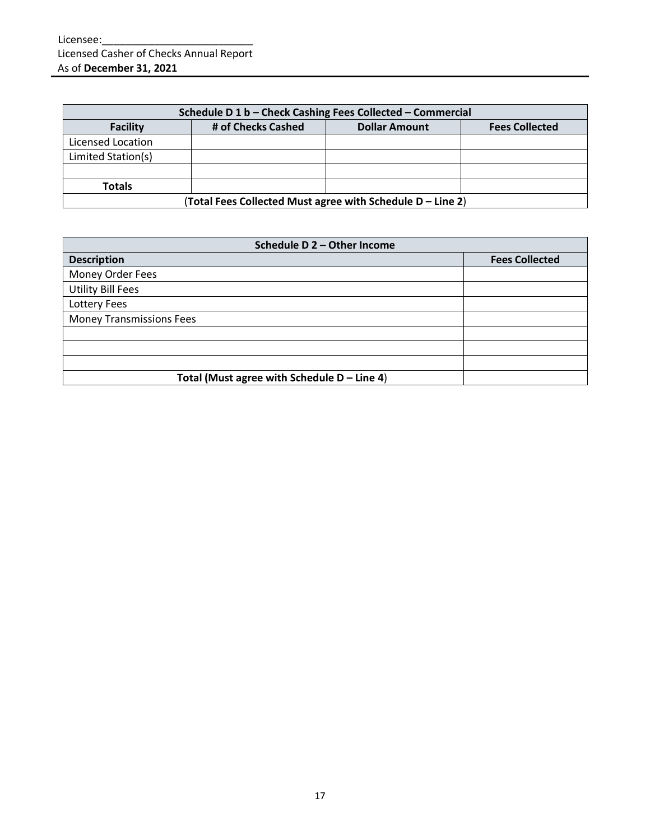| Schedule D 1 b - Check Cashing Fees Collected - Commercial |                                                            |  |  |  |  |  |  |  |
|------------------------------------------------------------|------------------------------------------------------------|--|--|--|--|--|--|--|
| <b>Facility</b>                                            | <b>Fees Collected</b>                                      |  |  |  |  |  |  |  |
| Licensed Location                                          |                                                            |  |  |  |  |  |  |  |
| Limited Station(s)                                         |                                                            |  |  |  |  |  |  |  |
|                                                            |                                                            |  |  |  |  |  |  |  |
| <b>Totals</b>                                              |                                                            |  |  |  |  |  |  |  |
|                                                            | (Total Fees Collected Must agree with Schedule D – Line 2) |  |  |  |  |  |  |  |

| Schedule D 2 - Other Income                   |                       |  |  |  |  |  |
|-----------------------------------------------|-----------------------|--|--|--|--|--|
| <b>Description</b>                            | <b>Fees Collected</b> |  |  |  |  |  |
| Money Order Fees                              |                       |  |  |  |  |  |
| <b>Utility Bill Fees</b>                      |                       |  |  |  |  |  |
| Lottery Fees                                  |                       |  |  |  |  |  |
| <b>Money Transmissions Fees</b>               |                       |  |  |  |  |  |
|                                               |                       |  |  |  |  |  |
|                                               |                       |  |  |  |  |  |
|                                               |                       |  |  |  |  |  |
| Total (Must agree with Schedule $D -$ Line 4) |                       |  |  |  |  |  |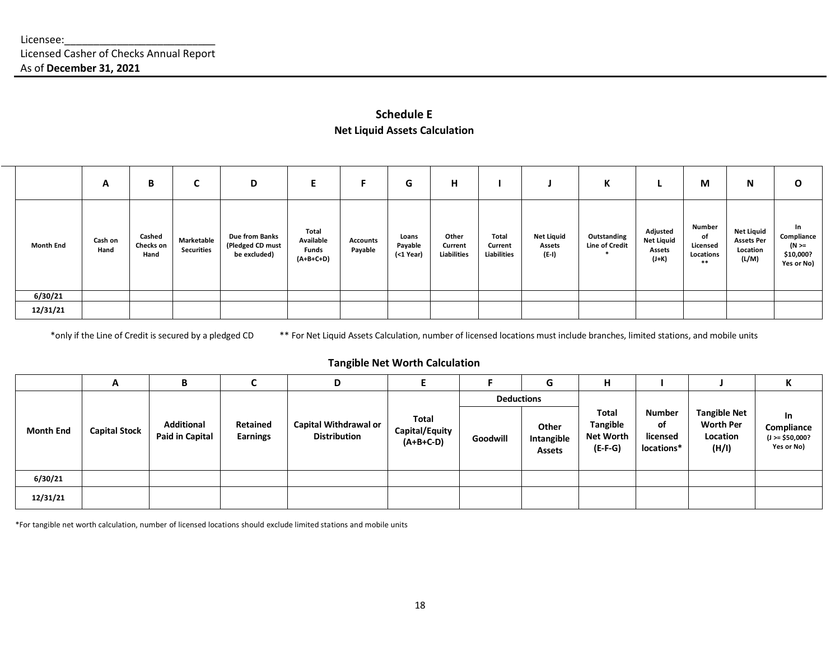### **Schedule E Net Liquid Assets Calculation**

|                  | A               | B                           | U                               | D                                                  | E                                                 | F.                  | G                             | н                               |                                 |                                             | K                                    |                                                           | M                                              | N                                                           | $\mathbf{o}$                                                |
|------------------|-----------------|-----------------------------|---------------------------------|----------------------------------------------------|---------------------------------------------------|---------------------|-------------------------------|---------------------------------|---------------------------------|---------------------------------------------|--------------------------------------|-----------------------------------------------------------|------------------------------------------------|-------------------------------------------------------------|-------------------------------------------------------------|
| <b>Month End</b> | Cash on<br>Hand | Cashed<br>Checks on<br>Hand | Marketable<br><b>Securities</b> | Due from Banks<br>(Pledged CD must<br>be excluded) | Total<br>Available<br><b>Funds</b><br>$(A+B+C+D)$ | Accounts<br>Payable | Loans<br>Payable<br>(<1 Year) | Other<br>Current<br>Liabilities | Total<br>Current<br>Liabilities | <b>Net Liquid</b><br><b>Assets</b><br>(E-I) | Outstanding<br><b>Line of Credit</b> | Adjusted<br><b>Net Liquid</b><br><b>Assets</b><br>$(J+K)$ | Number<br>of<br>Licensed<br>Locations<br>$***$ | <b>Net Liquid</b><br><b>Assets Per</b><br>Location<br>(L/M) | In<br>Compliance<br>$(N \geq 1)$<br>\$10,000?<br>Yes or No) |
| 6/30/21          |                 |                             |                                 |                                                    |                                                   |                     |                               |                                 |                                 |                                             |                                      |                                                           |                                                |                                                             |                                                             |
| 12/31/21         |                 |                             |                                 |                                                    |                                                   |                     |                               |                                 |                                 |                                             |                                      |                                                           |                                                |                                                             |                                                             |

\*only if the Line of Credit is secured by a pledged CD \*\* For Net Liquid Assets Calculation, number of licensed locations must include branches, limited stations, and mobile units

### **Tangible Net Worth Calculation**

|                  | A                    | B                                           |                             | D                                            |                                        |                   | G                                    | н                                                                |                                               |                                                              | n.                                                         |
|------------------|----------------------|---------------------------------------------|-----------------------------|----------------------------------------------|----------------------------------------|-------------------|--------------------------------------|------------------------------------------------------------------|-----------------------------------------------|--------------------------------------------------------------|------------------------------------------------------------|
|                  |                      |                                             |                             |                                              |                                        | <b>Deductions</b> |                                      |                                                                  |                                               |                                                              |                                                            |
| <b>Month End</b> | <b>Capital Stock</b> | <b>Additional</b><br><b>Paid in Capital</b> | Retained<br><b>Earnings</b> | Capital Withdrawal or<br><b>Distribution</b> | Total<br>Capital/Equity<br>$(A+B+C-D)$ | Goodwill          | Other<br>Intangible<br><b>Assets</b> | <b>Total</b><br><b>Tangible</b><br><b>Net Worth</b><br>$(E-F-G)$ | <b>Number</b><br>of<br>licensed<br>locations* | <b>Tangible Net</b><br><b>Worth Per</b><br>Location<br>(H/I) | <b>In</b><br>Compliance<br>$(J > = $50,000?$<br>Yes or No) |
| 6/30/21          |                      |                                             |                             |                                              |                                        |                   |                                      |                                                                  |                                               |                                                              |                                                            |
| 12/31/21         |                      |                                             |                             |                                              |                                        |                   |                                      |                                                                  |                                               |                                                              |                                                            |

\*For tangible net worth calculation, number of licensed locations should exclude limited stations and mobile units